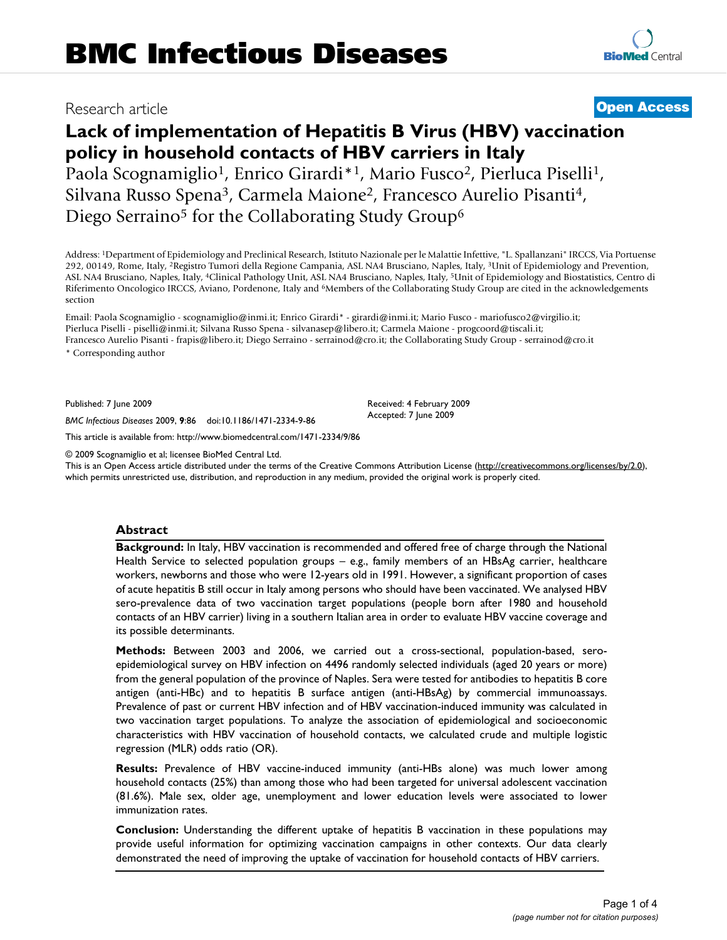# Research article **[Open Access](http://www.biomedcentral.com/info/about/charter/)**

**[BioMed](http://www.biomedcentral.com/)** Central

# **Lack of implementation of Hepatitis B Virus (HBV) vaccination policy in household contacts of HBV carriers in Italy**

Paola Scognamiglio<sup>1</sup>, Enrico Girardi<sup>\*1</sup>, Mario Fusco<sup>2</sup>, Pierluca Piselli<sup>1</sup>, Silvana Russo Spena3, Carmela Maione2, Francesco Aurelio Pisanti4, Diego Serraino<sup>5</sup> for the Collaborating Study Group<sup>6</sup>

Address: 1Department of Epidemiology and Preclinical Research, Istituto Nazionale per le Malattie Infettive, "L. Spallanzani" IRCCS, Via Portuense 292, 00149, Rome, Italy, 2Registro Tumori della Regione Campania, ASL NA4 Brusciano, Naples, Italy, 3Unit of Epidemiology and Prevention, ASL NA4 Brusciano, Naples, Italy, 4Clinical Pathology Unit, ASL NA4 Brusciano, Naples, Italy, 5Unit of Epidemiology and Biostatistics, Centro di Riferimento Oncologico IRCCS, Aviano, Pordenone, Italy and 6Members of the Collaborating Study Group are cited in the acknowledgements section

Email: Paola Scognamiglio - scognamiglio@inmi.it; Enrico Girardi\* - girardi@inmi.it; Mario Fusco - mariofusco2@virgilio.it; Pierluca Piselli - piselli@inmi.it; Silvana Russo Spena - silvanasep@libero.it; Carmela Maione - progcoord@tiscali.it; Francesco Aurelio Pisanti - frapis@libero.it; Diego Serraino - serrainod@cro.it; the Collaborating Study Group - serrainod@cro.it \* Corresponding author

Published: 7 June 2009

*BMC Infectious Diseases* 2009, **9**:86 doi:10.1186/1471-2334-9-86

[This article is available from: http://www.biomedcentral.com/1471-2334/9/86](http://www.biomedcentral.com/1471-2334/9/86)

© 2009 Scognamiglio et al; licensee BioMed Central Ltd.

This is an Open Access article distributed under the terms of the Creative Commons Attribution License [\(http://creativecommons.org/licenses/by/2.0\)](http://creativecommons.org/licenses/by/2.0), which permits unrestricted use, distribution, and reproduction in any medium, provided the original work is properly cited.

Received: 4 February 2009 Accepted: 7 June 2009

### **Abstract**

**Background:** In Italy, HBV vaccination is recommended and offered free of charge through the National Health Service to selected population groups – e.g., family members of an HBsAg carrier, healthcare workers, newborns and those who were 12-years old in 1991. However, a significant proportion of cases of acute hepatitis B still occur in Italy among persons who should have been vaccinated. We analysed HBV sero-prevalence data of two vaccination target populations (people born after 1980 and household contacts of an HBV carrier) living in a southern Italian area in order to evaluate HBV vaccine coverage and its possible determinants.

**Methods:** Between 2003 and 2006, we carried out a cross-sectional, population-based, seroepidemiological survey on HBV infection on 4496 randomly selected individuals (aged 20 years or more) from the general population of the province of Naples. Sera were tested for antibodies to hepatitis B core antigen (anti-HBc) and to hepatitis B surface antigen (anti-HBsAg) by commercial immunoassays. Prevalence of past or current HBV infection and of HBV vaccination-induced immunity was calculated in two vaccination target populations. To analyze the association of epidemiological and socioeconomic characteristics with HBV vaccination of household contacts, we calculated crude and multiple logistic regression (MLR) odds ratio (OR).

**Results:** Prevalence of HBV vaccine-induced immunity (anti-HBs alone) was much lower among household contacts (25%) than among those who had been targeted for universal adolescent vaccination (81.6%). Male sex, older age, unemployment and lower education levels were associated to lower immunization rates.

**Conclusion:** Understanding the different uptake of hepatitis B vaccination in these populations may provide useful information for optimizing vaccination campaigns in other contexts. Our data clearly demonstrated the need of improving the uptake of vaccination for household contacts of HBV carriers.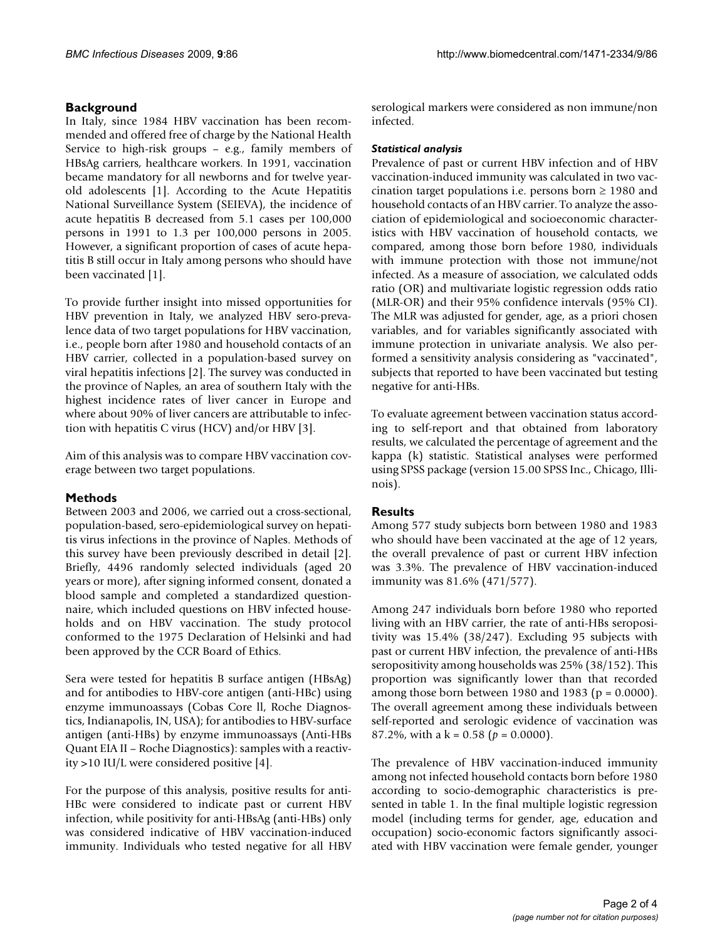# **Background**

In Italy, since 1984 HBV vaccination has been recommended and offered free of charge by the National Health Service to high-risk groups – e.g., family members of HBsAg carriers, healthcare workers. In 1991, vaccination became mandatory for all newborns and for twelve yearold adolescents [[1](#page-3-0)]. According to the Acute Hepatitis National Surveillance System (SEIEVA), the incidence of acute hepatitis B decreased from 5.1 cases per 100,000 persons in 1991 to 1.3 per 100,000 persons in 2005. However, a significant proportion of cases of acute hepatitis B still occur in Italy among persons who should have been vaccinated [\[1\]](#page-3-0).

To provide further insight into missed opportunities for HBV prevention in Italy, we analyzed HBV sero-prevalence data of two target populations for HBV vaccination, i.e., people born after 1980 and household contacts of an HBV carrier, collected in a population-based survey on viral hepatitis infections [\[2\]](#page-3-1). The survey was conducted in the province of Naples, an area of southern Italy with the highest incidence rates of liver cancer in Europe and where about 90% of liver cancers are attributable to infection with hepatitis C virus (HCV) and/or HBV [[3](#page-3-2)].

Aim of this analysis was to compare HBV vaccination coverage between two target populations.

# **Methods**

Between 2003 and 2006, we carried out a cross-sectional, population-based, sero-epidemiological survey on hepatitis virus infections in the province of Naples. Methods of this survey have been previously described in detail [[2](#page-3-1)]. Briefly, 4496 randomly selected individuals (aged 20 years or more), after signing informed consent, donated a blood sample and completed a standardized questionnaire, which included questions on HBV infected households and on HBV vaccination. The study protocol conformed to the 1975 Declaration of Helsinki and had been approved by the CCR Board of Ethics.

Sera were tested for hepatitis B surface antigen (HBsAg) and for antibodies to HBV-core antigen (anti-HBc) using enzyme immunoassays (Cobas Core ll, Roche Diagnostics, Indianapolis, IN, USA); for antibodies to HBV-surface antigen (anti-HBs) by enzyme immunoassays (Anti-HBs Quant EIA II – Roche Diagnostics): samples with a reactivity >10 IU/L were considered positive [\[4\]](#page-3-3).

For the purpose of this analysis, positive results for anti-HBc were considered to indicate past or current HBV infection, while positivity for anti-HBsAg (anti-HBs) only was considered indicative of HBV vaccination-induced immunity. Individuals who tested negative for all HBV serological markers were considered as non immune/non infected.

## *Statistical analysis*

Prevalence of past or current HBV infection and of HBV vaccination-induced immunity was calculated in two vaccination target populations i.e. persons born ≥ 1980 and household contacts of an HBV carrier. To analyze the association of epidemiological and socioeconomic characteristics with HBV vaccination of household contacts, we compared, among those born before 1980, individuals with immune protection with those not immune/not infected. As a measure of association, we calculated odds ratio (OR) and multivariate logistic regression odds ratio (MLR-OR) and their 95% confidence intervals (95% CI). The MLR was adjusted for gender, age, as a priori chosen variables, and for variables significantly associated with immune protection in univariate analysis. We also performed a sensitivity analysis considering as "vaccinated", subjects that reported to have been vaccinated but testing negative for anti-HBs.

To evaluate agreement between vaccination status according to self-report and that obtained from laboratory results, we calculated the percentage of agreement and the kappa (k) statistic. Statistical analyses were performed using SPSS package (version 15.00 SPSS Inc., Chicago, Illinois).

# **Results**

Among 577 study subjects born between 1980 and 1983 who should have been vaccinated at the age of 12 years, the overall prevalence of past or current HBV infection was 3.3%. The prevalence of HBV vaccination-induced immunity was 81.6% (471/577).

Among 247 individuals born before 1980 who reported living with an HBV carrier, the rate of anti-HBs seropositivity was 15.4% (38/247). Excluding 95 subjects with past or current HBV infection, the prevalence of anti-HBs seropositivity among households was 25% (38/152). This proportion was significantly lower than that recorded among those born between 1980 and 1983 ( $p = 0.0000$ ). The overall agreement among these individuals between self-reported and serologic evidence of vaccination was 87.2%, with a k = 0.58 (*p* = 0.0000).

The prevalence of HBV vaccination-induced immunity among not infected household contacts born before 1980 according to socio-demographic characteristics is presented in table [1.](#page-2-0) In the final multiple logistic regression model (including terms for gender, age, education and occupation) socio-economic factors significantly associated with HBV vaccination were female gender, younger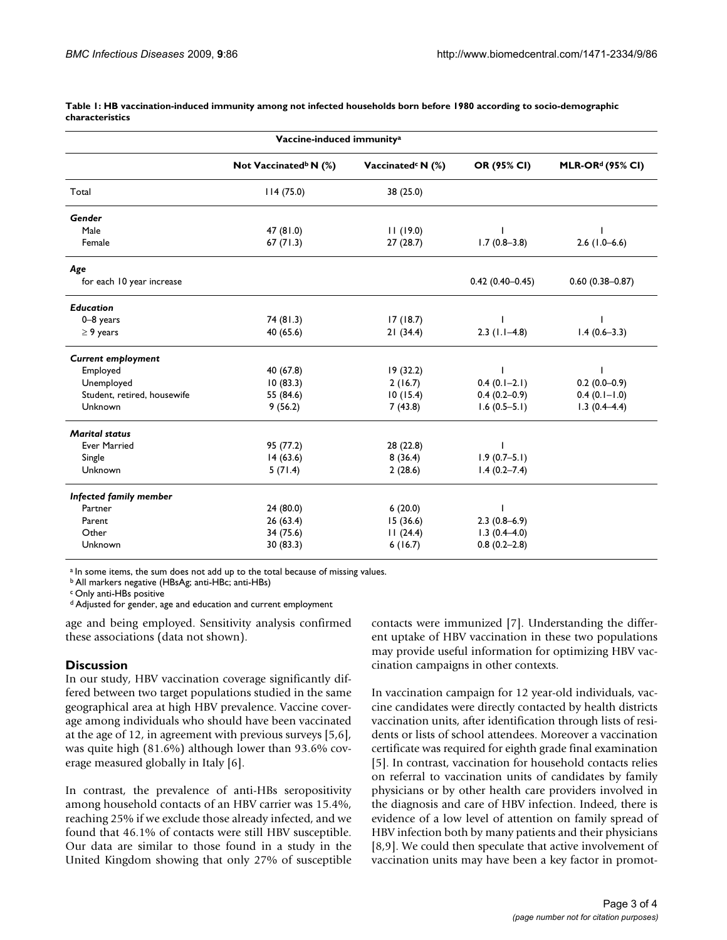| Vaccine-induced immunity <sup>a</sup> |                                   |                               |                     |                              |
|---------------------------------------|-----------------------------------|-------------------------------|---------------------|------------------------------|
|                                       | Not Vaccinated <sup>b</sup> N (%) | Vaccinated <sup>c</sup> N (%) | OR (95% CI)         | MLR-OR <sup>d</sup> (95% CI) |
| Total                                 | 114(75.0)                         | 38 (25.0)                     |                     |                              |
| Gender                                |                                   |                               |                     |                              |
| Male                                  | 47(81.0)                          | 11(19.0)                      |                     |                              |
| Female                                | 67(71.3)                          | 27(28.7)                      | $1.7(0.8-3.8)$      | $2.6$ (1.0-6.6)              |
| Age                                   |                                   |                               |                     |                              |
| for each 10 year increase             |                                   |                               | $0.42(0.40 - 0.45)$ | $0.60(0.38 - 0.87)$          |
| <b>Education</b>                      |                                   |                               |                     |                              |
| $0 - 8$ years                         | 74(81.3)                          | 17(18.7)                      |                     |                              |
| $\geq$ 9 years                        | 40 (65.6)                         | 21(34.4)                      | $2.3$ (1.1-4.8)     | $1.4(0.6-3.3)$               |
| <b>Current employment</b>             |                                   |                               |                     |                              |
| Employed                              | 40 (67.8)                         | 19(32.2)                      |                     |                              |
| Unemployed                            | 10(83.3)                          | 2(16.7)                       | $0.4(0.1-2.1)$      | $0.2(0.0-0.9)$               |
| Student, retired, housewife           | 55 (84.6)                         | 10(15.4)                      | $0.4(0.2-0.9)$      | $0.4(0.1-1.0)$               |
| Unknown                               | 9(56.2)                           | 7(43.8)                       | $1.6(0.5-5.1)$      | $1.3(0.4-4.4)$               |
| <b>Marital status</b>                 |                                   |                               |                     |                              |
| <b>Ever Married</b>                   | 95 (77.2)                         | 28 (22.8)                     |                     |                              |
| Single                                | 14(63.6)                          | 8(36.4)                       | $1.9(0.7-5.1)$      |                              |
| Unknown                               | 5(71.4)                           | 2(28.6)                       | $1.4(0.2 - 7.4)$    |                              |
| Infected family member                |                                   |                               |                     |                              |
| Partner                               | 24(80.0)                          | 6(20.0)                       |                     |                              |
| Parent                                | 26(63.4)                          | 15(36.6)                      | $2.3(0.8-6.9)$      |                              |
| Other                                 | 34 (75.6)                         | 11(24.4)                      | $1.3(0.4 - 4.0)$    |                              |
| Unknown                               | 30(83.3)                          | 6(16.7)                       | $0.8(0.2 - 2.8)$    |                              |

<span id="page-2-0"></span>**Table 1: HB vaccination-induced immunity among not infected households born before 1980 according to socio-demographic characteristics**

a In some items, the sum does not add up to the total because of missing values.

b All markers negative (HBsAg; anti-HBc; anti-HBs)

c Only anti-HBs positive

d Adjusted for gender, age and education and current employment

age and being employed. Sensitivity analysis confirmed these associations (data not shown).

#### **Discussion**

In our study, HBV vaccination coverage significantly differed between two target populations studied in the same geographical area at high HBV prevalence. Vaccine coverage among individuals who should have been vaccinated at the age of 12, in agreement with previous surveys [[5](#page-3-4),[6](#page-3-5)], was quite high (81.6%) although lower than 93.6% coverage measured globally in Italy [[6](#page-3-5)].

In contrast, the prevalence of anti-HBs seropositivity among household contacts of an HBV carrier was 15.4%, reaching 25% if we exclude those already infected, and we found that 46.1% of contacts were still HBV susceptible. Our data are similar to those found in a study in the United Kingdom showing that only 27% of susceptible contacts were immunized [\[7\]](#page-3-6). Understanding the different uptake of HBV vaccination in these two populations may provide useful information for optimizing HBV vaccination campaigns in other contexts.

In vaccination campaign for 12 year-old individuals, vaccine candidates were directly contacted by health districts vaccination units, after identification through lists of residents or lists of school attendees. Moreover a vaccination certificate was required for eighth grade final examination [[5\]](#page-3-4). In contrast, vaccination for household contacts relies on referral to vaccination units of candidates by family physicians or by other health care providers involved in the diagnosis and care of HBV infection. Indeed, there is evidence of a low level of attention on family spread of HBV infection both by many patients and their physicians [[8](#page-3-7)[,9\]](#page-3-8). We could then speculate that active involvement of vaccination units may have been a key factor in promot